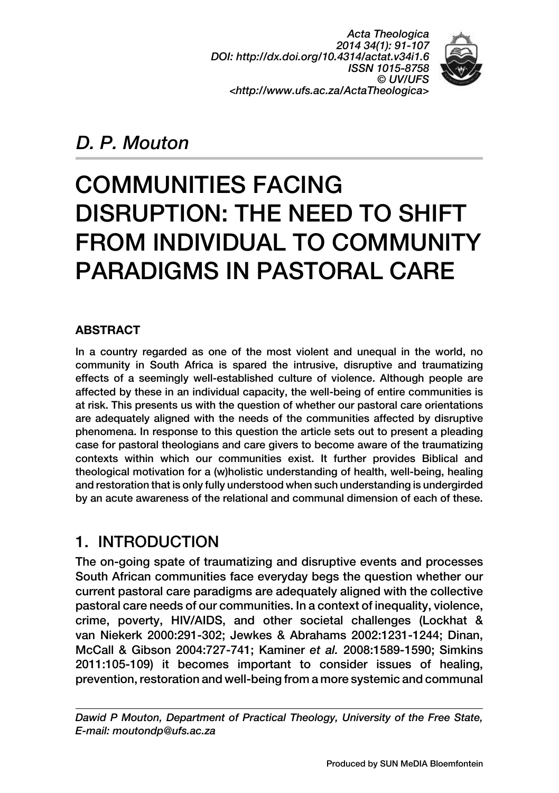*Acta Theologica 2014 34(1): 91-107 DOI: http://dx.doi.org/10.4314/actat.v34i1.6 ISSN 1015-8758 © UV/UFS <http://www.ufs.ac.za/ActaTheologica>*



## *D. P. Mouton*

# COMMUNITIES FACING DISRUPTION: THE NEED TO SHIFT FROM INDIVIDUAL TO COMMUNITY PARADIGMS IN PASTORAL CARE

### **ABSTRACT**

In a country regarded as one of the most violent and unequal in the world, no community in South Africa is spared the intrusive, disruptive and traumatizing effects of a seemingly well-established culture of violence. Although people are affected by these in an individual capacity, the well-being of entire communities is at risk. This presents us with the question of whether our pastoral care orientations are adequately aligned with the needs of the communities affected by disruptive phenomena. In response to this question the article sets out to present a pleading case for pastoral theologians and care givers to become aware of the traumatizing contexts within which our communities exist. It further provides Biblical and theological motivation for a (w)holistic understanding of health, well-being, healing and restoration that is only fully understood when such understanding is undergirded by an acute awareness of the relational and communal dimension of each of these.

## 1. INTRODUCTION

The on-going spate of traumatizing and disruptive events and processes South African communities face everyday begs the question whether our current pastoral care paradigms are adequately aligned with the collective pastoral care needs of our communities. In a context of inequality, violence, crime, poverty, HIV/AIDS, and other societal challenges (Lockhat & van Niekerk 2000:291-302; Jewkes & Abrahams 2002:1231-1244; Dinan, McCall & Gibson 2004:727-741; Kaminer *et al.* 2008:1589-1590; Simkins 2011:105-109) it becomes important to consider issues of healing, prevention, restoration and well-being from a more systemic and communal

*Dawid P Mouton, Department of Practical Theology, University of the Free State, E-mail: [moutondp@ufs.ac.za](mailto:moutondp@ufs.ac.za)*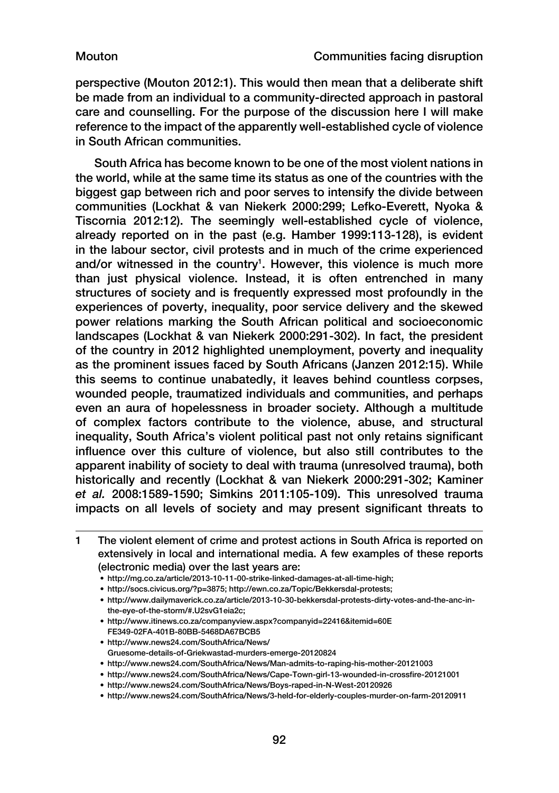perspective (Mouton 2012:1). This would then mean that a deliberate shift be made from an individual to a community-directed approach in pastoral care and counselling. For the purpose of the discussion here I will make reference to the impact of the apparently well-established cycle of violence in South African communities.

South Africa has become known to be one of the most violent nations in the world, while at the same time its status as one of the countries with the biggest gap between rich and poor serves to intensify the divide between communities (Lockhat & van Niekerk 2000:299; Lefko-Everett, Nyoka & Tiscornia 2012:12). The seemingly well-established cycle of violence, already reported on in the past (e.g. Hamber 1999:113-128), is evident in the labour sector, civil protests and in much of the crime experienced and/or witnessed in the country<sup>1</sup>. However, this violence is much more than just physical violence. Instead, it is often entrenched in many structures of society and is frequently expressed most profoundly in the experiences of poverty, inequality, poor service delivery and the skewed power relations marking the South African political and socioeconomic landscapes (Lockhat & van Niekerk 2000:291-302). In fact, the president of the country in 2012 highlighted unemployment, poverty and inequality as the prominent issues faced by South Africans (Janzen 2012:15). While this seems to continue unabatedly, it leaves behind countless corpses, wounded people, traumatized individuals and communities, and perhaps even an aura of hopelessness in broader society. Although a multitude of complex factors contribute to the violence, abuse, and structural inequality, South Africa's violent political past not only retains significant influence over this culture of violence, but also still contributes to the apparent inability of society to deal with trauma (unresolved trauma), both historically and recently (Lockhat & van Niekerk 2000:291-302; Kaminer *et al.* 2008:1589-1590; Simkins 2011:105-109). This unresolved trauma impacts on all levels of society and may present significant threats to

• [http://mg.co.za/article/2013-10-11-00-strike-linked-damages-at-all-time-high;](http://mg.co.za/article/2013-10-11-00-strike-linked-damages-at-all-time-high)

- [http://www.itinews.co.za/companyview.aspx?companyid=22416&itemid=60E](http://www.itinews.co.za/companyview.aspx?companyid=22416&itemid=60EFE349-02FA-401B-80BB-5468DA67BCB5) [FE349-02FA-401B-80BB-5468DA67BCB5](http://www.itinews.co.za/companyview.aspx?companyid=22416&itemid=60EFE349-02FA-401B-80BB-5468DA67BCB5)
- [http://www.news24.com/SouthAfrica/News/](http://www.news24.com/SouthAfrica/News/Gruesome-details-of-Griekwastad-murders-emerge-20120824) [Gruesome-details-of-Griekwastad-murders-emerge-20120824](http://www.news24.com/SouthAfrica/News/Gruesome-details-of-Griekwastad-murders-emerge-20120824)
- <http://www.news24.com/SouthAfrica/News/Man-admits-to-raping-his-mother-20121003>
- <http://www.news24.com/SouthAfrica/News/Cape-Town-girl-13-wounded-in-crossfire-20121001>
- <http://www.news24.com/SouthAfrica/News/Boys-raped-in-N-West-20120926>
- <http://www.news24.com/SouthAfrica/News/3-held-for-elderly-couples-murder-on-farm-20120911>

<sup>1</sup> The violent element of crime and protest actions in South Africa is reported on extensively in local and international media. A few examples of these reports (electronic media) over the last years are:

<sup>•</sup> [http://socs.civicus.org/?p=3875;](http://socs.civicus.org/?p=3875)<http://ewn.co.za/Topic/Bekkersdal-protests>;

<sup>•</sup> [http://www.dailymaverick.co.za/article/2013-10-30-bekkersdal-protests-dirty-votes-and-the-anc-in](http://www.dailymaverick.co.za/article/2013-10-30-bekkersdal-protests-dirty-votes-and-the-anc-in-the-eye-of-the-storm/#.U2svG1eia2c)[the-eye-of-the-storm/#.U2svG1eia2c;](http://www.dailymaverick.co.za/article/2013-10-30-bekkersdal-protests-dirty-votes-and-the-anc-in-the-eye-of-the-storm/#.U2svG1eia2c)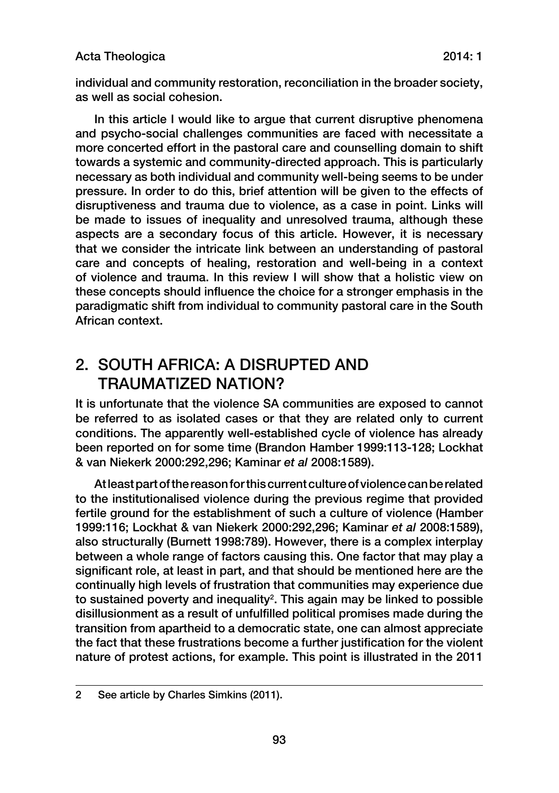### Acta Theologica 2014: 1

individual and community restoration, reconciliation in the broader society, as well as social cohesion.

In this article I would like to argue that current disruptive phenomena and psycho-social challenges communities are faced with necessitate a more concerted effort in the pastoral care and counselling domain to shift towards a systemic and community-directed approach. This is particularly necessary as both individual and community well-being seems to be under pressure. In order to do this, brief attention will be given to the effects of disruptiveness and trauma due to violence, as a case in point. Links will be made to issues of inequality and unresolved trauma, although these aspects are a secondary focus of this article. However, it is necessary that we consider the intricate link between an understanding of pastoral care and concepts of healing, restoration and well-being in a context of violence and trauma. In this review I will show that a holistic view on these concepts should influence the choice for a stronger emphasis in the paradigmatic shift from individual to community pastoral care in the South African context.

## 2. SOUTH AFRICA: A DISRUPTED AND TRAUMATIZED NATION?

It is unfortunate that the violence SA communities are exposed to cannot be referred to as isolated cases or that they are related only to current conditions. The apparently well-established cycle of violence has already been reported on for some time (Brandon Hamber 1999:113-128; Lockhat & van Niekerk 2000:292,296; Kaminar *et al* 2008:1589).

At least part of the reason for this current culture of violence can be related to the institutionalised violence during the previous regime that provided fertile ground for the establishment of such a culture of violence (Hamber 1999:116; Lockhat & van Niekerk 2000:292,296; Kaminar *et al* 2008:1589), also structurally (Burnett 1998:789). However, there is a complex interplay between a whole range of factors causing this. One factor that may play a significant role, at least in part, and that should be mentioned here are the continually high levels of frustration that communities may experience due to sustained poverty and inequality<sup>2</sup>. This again may be linked to possible disillusionment as a result of unfulfilled political promises made during the transition from apartheid to a democratic state, one can almost appreciate the fact that these frustrations become a further justification for the violent nature of protest actions, for example. This point is illustrated in the 2011

<sup>2</sup> See article by Charles Simkins (2011).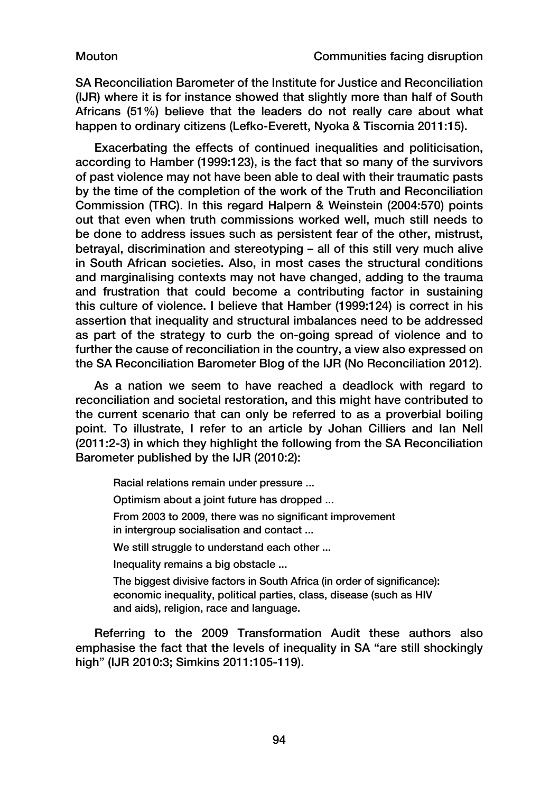SA Reconciliation Barometer of the Institute for Justice and Reconciliation (IJR) where it is for instance showed that slightly more than half of South Africans (51%) believe that the leaders do not really care about what happen to ordinary citizens (Lefko-Everett, Nyoka & Tiscornia 2011:15).

Exacerbating the effects of continued inequalities and politicisation, according to Hamber (1999:123), is the fact that so many of the survivors of past violence may not have been able to deal with their traumatic pasts by the time of the completion of the work of the Truth and Reconciliation Commission (TRC). In this regard Halpern & Weinstein (2004:570) points out that even when truth commissions worked well, much still needs to be done to address issues such as persistent fear of the other, mistrust, betrayal, discrimination and stereotyping – all of this still very much alive in South African societies. Also, in most cases the structural conditions and marginalising contexts may not have changed, adding to the trauma and frustration that could become a contributing factor in sustaining this culture of violence. I believe that Hamber (1999:124) is correct in his assertion that inequality and structural imbalances need to be addressed as part of the strategy to curb the on-going spread of violence and to further the cause of reconciliation in the country, a view also expressed on the SA Reconciliation Barometer Blog of the IJR (No Reconciliation 2012).

As a nation we seem to have reached a deadlock with regard to reconciliation and societal restoration, and this might have contributed to the current scenario that can only be referred to as a proverbial boiling point. To illustrate, I refer to an article by Johan Cilliers and Ian Nell (2011:2-3) in which they highlight the following from the SA Reconciliation Barometer published by the IJR (2010:2):

Racial relations remain under pressure ... Optimism about a joint future has dropped ... From 2003 to 2009, there was no significant improvement in intergroup socialisation and contact ... We still struggle to understand each other ... Inequality remains a big obstacle ... The biggest divisive factors in South Africa (in order of significance): economic inequality, political parties, class, disease (such as HIV and aids), religion, race and language.

Referring to the 2009 Transformation Audit these authors also emphasise the fact that the levels of inequality in SA "are still shockingly high" (IJR 2010:3; Simkins 2011:105-119).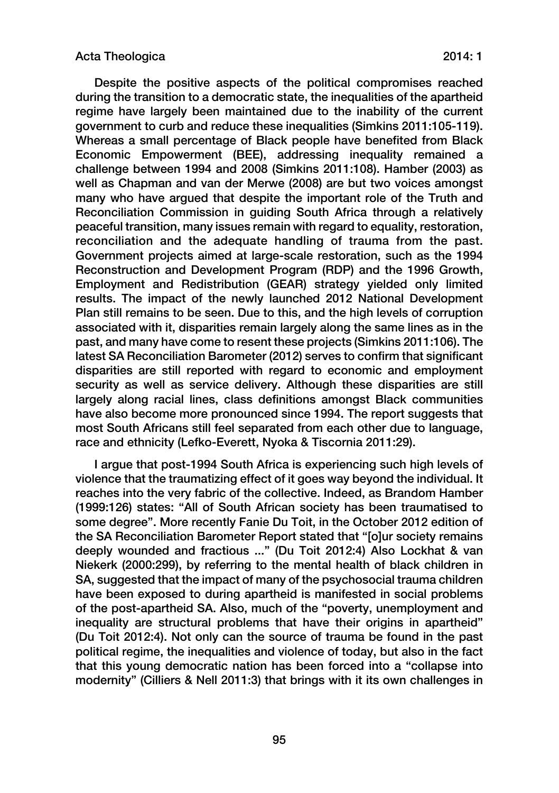Despite the positive aspects of the political compromises reached during the transition to a democratic state, the inequalities of the apartheid regime have largely been maintained due to the inability of the current government to curb and reduce these inequalities (Simkins 2011:105-119). Whereas a small percentage of Black people have benefited from Black Economic Empowerment (BEE), addressing inequality remained a challenge between 1994 and 2008 (Simkins 2011:108). Hamber (2003) as well as Chapman and van der Merwe (2008) are but two voices amongst many who have argued that despite the important role of the Truth and Reconciliation Commission in guiding South Africa through a relatively peaceful transition, many issues remain with regard to equality, restoration, reconciliation and the adequate handling of trauma from the past. Government projects aimed at large-scale restoration, such as the 1994 Reconstruction and Development Program (RDP) and the 1996 Growth, Employment and Redistribution (GEAR) strategy yielded only limited results. The impact of the newly launched 2012 National Development Plan still remains to be seen. Due to this, and the high levels of corruption associated with it, disparities remain largely along the same lines as in the past, and many have come to resent these projects (Simkins 2011:106). The latest SA Reconciliation Barometer (2012) serves to confirm that significant disparities are still reported with regard to economic and employment security as well as service delivery. Although these disparities are still largely along racial lines, class definitions amongst Black communities have also become more pronounced since 1994. The report suggests that most South Africans still feel separated from each other due to language, race and ethnicity (Lefko-Everett, Nyoka & Tiscornia 2011:29).

I argue that post-1994 South Africa is experiencing such high levels of violence that the traumatizing effect of it goes way beyond the individual. It reaches into the very fabric of the collective. Indeed, as Brandom Hamber (1999:126) states: "All of South African society has been traumatised to some degree". More recently Fanie Du Toit, in the October 2012 edition of the SA Reconciliation Barometer Report stated that "[o]ur society remains deeply wounded and fractious ..." (Du Toit 2012:4) Also Lockhat & van Niekerk (2000:299), by referring to the mental health of black children in SA, suggested that the impact of many of the psychosocial trauma children have been exposed to during apartheid is manifested in social problems of the post-apartheid SA. Also, much of the "poverty, unemployment and inequality are structural problems that have their origins in apartheid" (Du Toit 2012:4). Not only can the source of trauma be found in the past political regime, the inequalities and violence of today, but also in the fact that this young democratic nation has been forced into a "collapse into modernity" (Cilliers & Nell 2011:3) that brings with it its own challenges in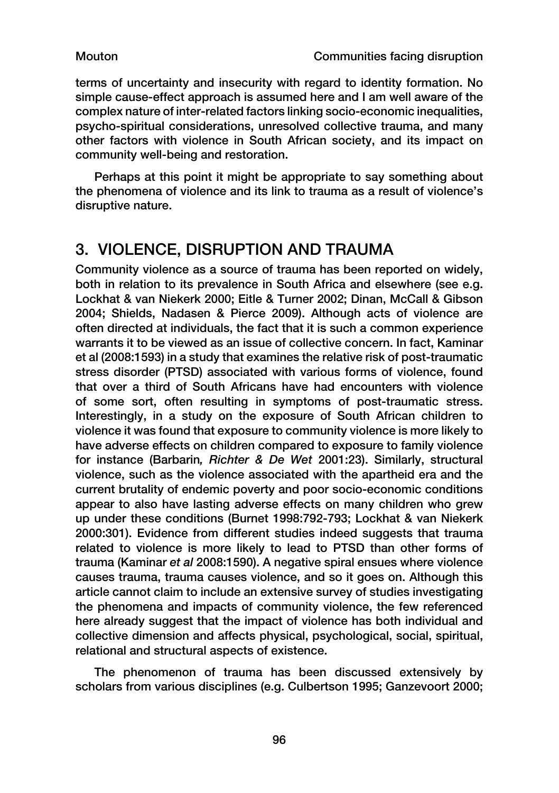terms of uncertainty and insecurity with regard to identity formation. No simple cause-effect approach is assumed here and I am well aware of the complex nature of inter-related factors linking socio-economic inequalities, psycho-spiritual considerations, unresolved collective trauma, and many other factors with violence in South African society, and its impact on community well-being and restoration.

Perhaps at this point it might be appropriate to say something about the phenomena of violence and its link to trauma as a result of violence's disruptive nature.

## 3. VIOLENCE, DISRUPTION AND TRAUMA

Community violence as a source of trauma has been reported on widely, both in relation to its prevalence in South Africa and elsewhere (see e.g. Lockhat & van Niekerk 2000; Eitle & Turner 2002; Dinan, McCall & Gibson 2004; Shields, Nadasen & Pierce 2009). Although acts of violence are often directed at individuals, the fact that it is such a common experience warrants it to be viewed as an issue of collective concern. In fact, Kaminar et al (2008:1593) in a study that examines the relative risk of post-traumatic stress disorder (PTSD) associated with various forms of violence, found that over a third of South Africans have had encounters with violence of some sort, often resulting in symptoms of post-traumatic stress. Interestingly, in a study on the exposure of South African children to violence it was found that exposure to community violence is more likely to have adverse effects on children compared to exposure to family violence for instance (Barbarin*, Richter & De Wet* 2001:23). Similarly, structural violence, such as the violence associated with the apartheid era and the current brutality of endemic poverty and poor socio-economic conditions appear to also have lasting adverse effects on many children who grew up under these conditions (Burnet 1998:792-793; Lockhat & van Niekerk 2000:301). Evidence from different studies indeed suggests that trauma related to violence is more likely to lead to PTSD than other forms of trauma (Kaminar *et al* 2008:1590). A negative spiral ensues where violence causes trauma, trauma causes violence, and so it goes on. Although this article cannot claim to include an extensive survey of studies investigating the phenomena and impacts of community violence, the few referenced here already suggest that the impact of violence has both individual and collective dimension and affects physical, psychological, social, spiritual, relational and structural aspects of existence.

The phenomenon of trauma has been discussed extensively by scholars from various disciplines (e.g. Culbertson 1995; Ganzevoort 2000;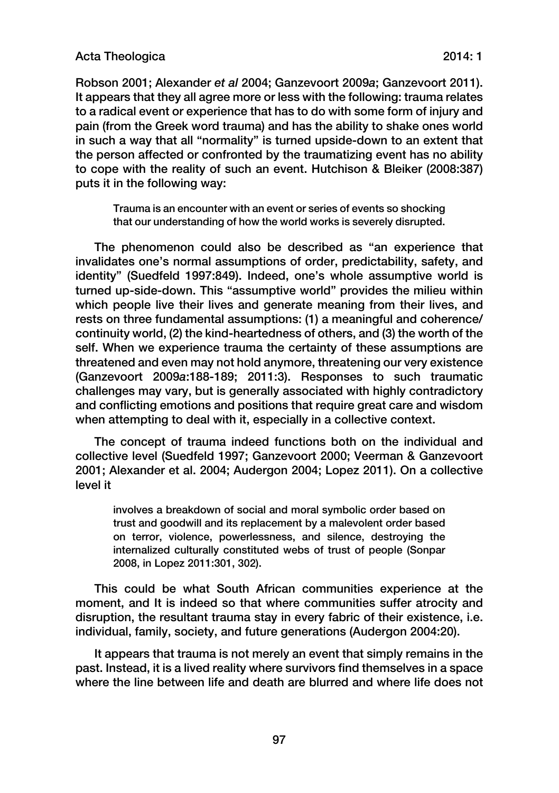#### Acta Theologica 2014: 1

Robson 2001; Alexander *et al* 2004; Ganzevoort 2009*a*; Ganzevoort 2011). It appears that they all agree more or less with the following: trauma relates to a radical event or experience that has to do with some form of injury and pain (from the Greek word trauma) and has the ability to shake ones world in such a way that all "normality" is turned upside-down to an extent that the person affected or confronted by the traumatizing event has no ability to cope with the reality of such an event. Hutchison & Bleiker (2008:387) puts it in the following way:

Trauma is an encounter with an event or series of events so shocking that our understanding of how the world works is severely disrupted.

The phenomenon could also be described as "an experience that invalidates one's normal assumptions of order, predictability, safety, and identity" (Suedfeld 1997:849). Indeed, one's whole assumptive world is turned up-side-down. This "assumptive world" provides the milieu within which people live their lives and generate meaning from their lives, and rests on three fundamental assumptions: (1) a meaningful and coherence/ continuity world, (2) the kind-heartedness of others, and (3) the worth of the self. When we experience trauma the certainty of these assumptions are threatened and even may not hold anymore, threatening our very existence (Ganzevoort 2009*a*:188-189; 2011:3). Responses to such traumatic challenges may vary, but is generally associated with highly contradictory and conflicting emotions and positions that require great care and wisdom when attempting to deal with it, especially in a collective context.

The concept of trauma indeed functions both on the individual and collective level (Suedfeld 1997; Ganzevoort 2000; Veerman & Ganzevoort 2001; Alexander et al. 2004; Audergon 2004; Lopez 2011). On a collective level it

involves a breakdown of social and moral symbolic order based on trust and goodwill and its replacement by a malevolent order based on terror, violence, powerlessness, and silence, destroying the internalized culturally constituted webs of trust of people (Sonpar 2008, in Lopez 2011:301, 302).

This could be what South African communities experience at the moment, and It is indeed so that where communities suffer atrocity and disruption, the resultant trauma stay in every fabric of their existence, i.e. individual, family, society, and future generations (Audergon 2004:20).

It appears that trauma is not merely an event that simply remains in the past. Instead, it is a lived reality where survivors find themselves in a space where the line between life and death are blurred and where life does not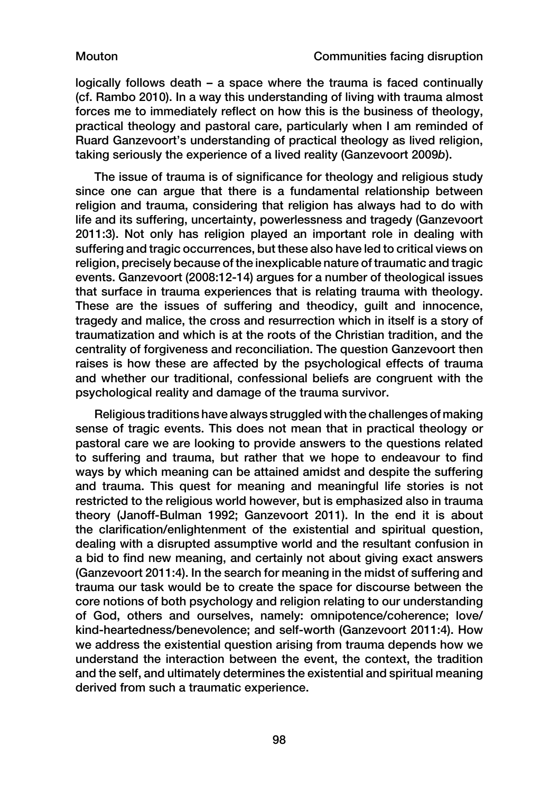logically follows death – a space where the trauma is faced continually (cf. Rambo 2010). In a way this understanding of living with trauma almost forces me to immediately reflect on how this is the business of theology, practical theology and pastoral care, particularly when I am reminded of Ruard Ganzevoort's understanding of practical theology as lived religion, taking seriously the experience of a lived reality (Ganzevoort 2009*b*).

The issue of trauma is of significance for theology and religious study since one can argue that there is a fundamental relationship between religion and trauma, considering that religion has always had to do with life and its suffering, uncertainty, powerlessness and tragedy (Ganzevoort 2011:3). Not only has religion played an important role in dealing with suffering and tragic occurrences, but these also have led to critical views on religion, precisely because of the inexplicable nature of traumatic and tragic events. Ganzevoort (2008:12-14) argues for a number of theological issues that surface in trauma experiences that is relating trauma with theology. These are the issues of suffering and theodicy, guilt and innocence, tragedy and malice, the cross and resurrection which in itself is a story of traumatization and which is at the roots of the Christian tradition, and the centrality of forgiveness and reconciliation. The question Ganzevoort then raises is how these are affected by the psychological effects of trauma and whether our traditional, confessional beliefs are congruent with the psychological reality and damage of the trauma survivor.

Religious traditions have always struggled with the challenges of making sense of tragic events. This does not mean that in practical theology or pastoral care we are looking to provide answers to the questions related to suffering and trauma, but rather that we hope to endeavour to find ways by which meaning can be attained amidst and despite the suffering and trauma. This quest for meaning and meaningful life stories is not restricted to the religious world however, but is emphasized also in trauma theory (Janoff-Bulman 1992; Ganzevoort 2011). In the end it is about the clarification/enlightenment of the existential and spiritual question, dealing with a disrupted assumptive world and the resultant confusion in a bid to find new meaning, and certainly not about giving exact answers (Ganzevoort 2011:4). In the search for meaning in the midst of suffering and trauma our task would be to create the space for discourse between the core notions of both psychology and religion relating to our understanding of God, others and ourselves, namely: omnipotence/coherence; love/ kind-heartedness/benevolence; and self-worth (Ganzevoort 2011:4). How we address the existential question arising from trauma depends how we understand the interaction between the event, the context, the tradition and the self, and ultimately determines the existential and spiritual meaning derived from such a traumatic experience.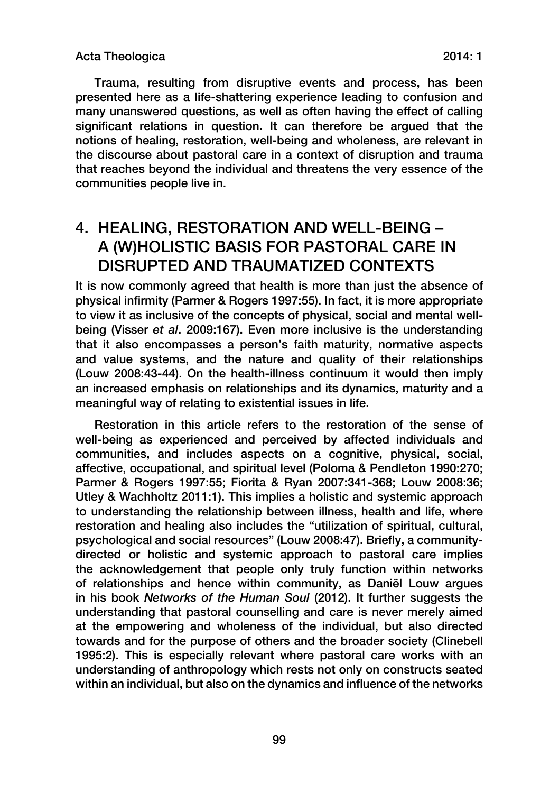Trauma, resulting from disruptive events and process, has been presented here as a life-shattering experience leading to confusion and many unanswered questions, as well as often having the effect of calling significant relations in question. It can therefore be argued that the notions of healing, restoration, well-being and wholeness, are relevant in the discourse about pastoral care in a context of disruption and trauma that reaches beyond the individual and threatens the very essence of the communities people live in.

## 4. HEALING, RESTORATION AND WELL-BEING – A (W)HOLISTIC BASIS FOR PASTORAL CARE IN DISRUPTED AND TRAUMATIZED CONTEXTS

It is now commonly agreed that health is more than just the absence of physical infirmity (Parmer & Rogers 1997:55). In fact, it is more appropriate to view it as inclusive of the concepts of physical, social and mental wellbeing (Visser *et al*. 2009:167). Even more inclusive is the understanding that it also encompasses a person's faith maturity, normative aspects and value systems, and the nature and quality of their relationships (Louw 2008:43-44). On the health-illness continuum it would then imply an increased emphasis on relationships and its dynamics, maturity and a meaningful way of relating to existential issues in life.

Restoration in this article refers to the restoration of the sense of well-being as experienced and perceived by affected individuals and communities, and includes aspects on a cognitive, physical, social, affective, occupational, and spiritual level (Poloma & Pendleton 1990:270; Parmer & Rogers 1997:55; Fiorita & Ryan 2007:341-368; Louw 2008:36; Utley & Wachholtz 2011:1). This implies a holistic and systemic approach to understanding the relationship between illness, health and life, where restoration and healing also includes the "utilization of spiritual, cultural, psychological and social resources" (Louw 2008:47). Briefly, a communitydirected or holistic and systemic approach to pastoral care implies the acknowledgement that people only truly function within networks of relationships and hence within community, as Daniël Louw argues in his book *Networks of the Human Soul* (2012). It further suggests the understanding that pastoral counselling and care is never merely aimed at the empowering and wholeness of the individual, but also directed towards and for the purpose of others and the broader society (Clinebell 1995:2). This is especially relevant where pastoral care works with an understanding of anthropology which rests not only on constructs seated within an individual, but also on the dynamics and influence of the networks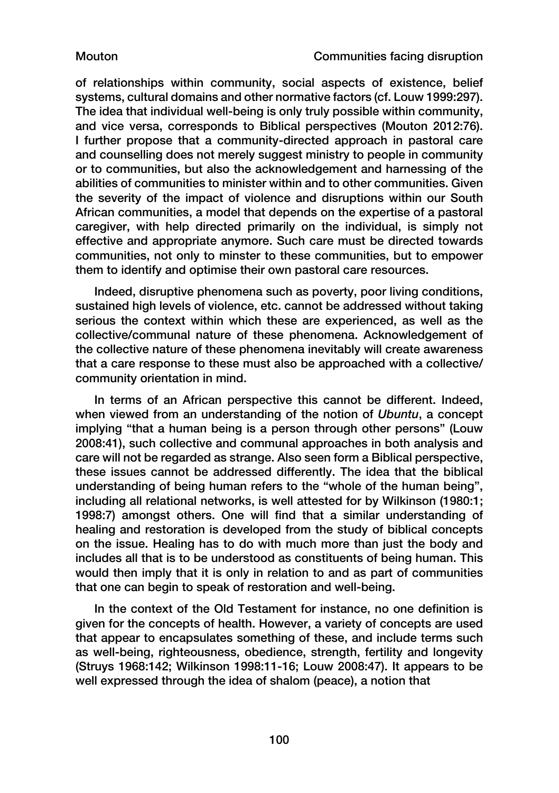of relationships within community, social aspects of existence, belief systems, cultural domains and other normative factors (cf. Louw 1999:297). The idea that individual well-being is only truly possible within community, and vice versa, corresponds to Biblical perspectives (Mouton 2012:76). I further propose that a community-directed approach in pastoral care and counselling does not merely suggest ministry to people in community or to communities, but also the acknowledgement and harnessing of the abilities of communities to minister within and to other communities. Given the severity of the impact of violence and disruptions within our South African communities, a model that depends on the expertise of a pastoral caregiver, with help directed primarily on the individual, is simply not effective and appropriate anymore. Such care must be directed towards communities, not only to minster to these communities, but to empower them to identify and optimise their own pastoral care resources.

Indeed, disruptive phenomena such as poverty, poor living conditions, sustained high levels of violence, etc. cannot be addressed without taking serious the context within which these are experienced, as well as the collective/communal nature of these phenomena. Acknowledgement of the collective nature of these phenomena inevitably will create awareness that a care response to these must also be approached with a collective/ community orientation in mind.

In terms of an African perspective this cannot be different. Indeed, when viewed from an understanding of the notion of *Ubuntu*, a concept implying "that a human being is a person through other persons" (Louw 2008:41), such collective and communal approaches in both analysis and care will not be regarded as strange. Also seen form a Biblical perspective, these issues cannot be addressed differently. The idea that the biblical understanding of being human refers to the "whole of the human being", including all relational networks, is well attested for by Wilkinson (1980:1; 1998:7) amongst others. One will find that a similar understanding of healing and restoration is developed from the study of biblical concepts on the issue. Healing has to do with much more than just the body and includes all that is to be understood as constituents of being human. This would then imply that it is only in relation to and as part of communities that one can begin to speak of restoration and well-being.

In the context of the Old Testament for instance, no one definition is given for the concepts of health. However, a variety of concepts are used that appear to encapsulates something of these, and include terms such as well-being, righteousness, obedience, strength, fertility and longevity (Struys 1968:142; Wilkinson 1998:11-16; Louw 2008:47). It appears to be well expressed through the idea of shalom (peace), a notion that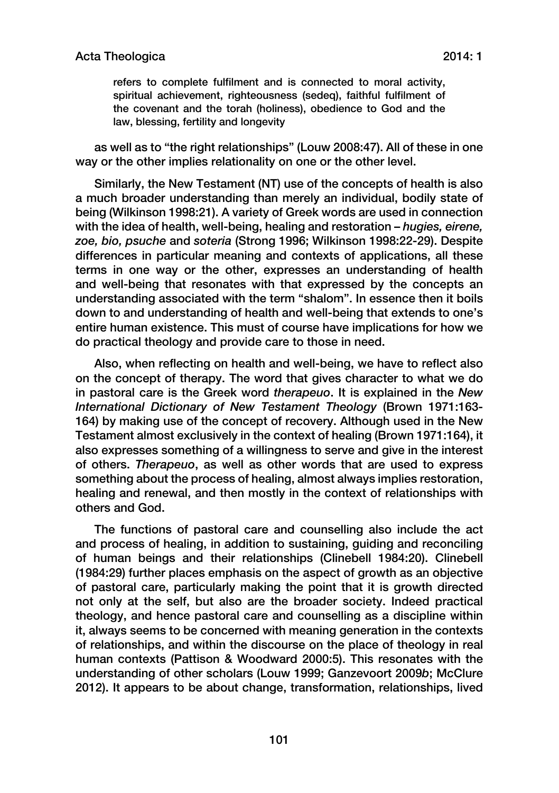refers to complete fulfilment and is connected to moral activity, spiritual achievement, righteousness (sedeq), faithful fulfilment of the covenant and the torah (holiness), obedience to God and the law, blessing, fertility and longevity

as well as to "the right relationships" (Louw 2008:47). All of these in one way or the other implies relationality on one or the other level.

Similarly, the New Testament (NT) use of the concepts of health is also a much broader understanding than merely an individual, bodily state of being (Wilkinson 1998:21). A variety of Greek words are used in connection with the idea of health, well-being, healing and restoration – *hugies, eirene, zoe, bio, psuche* and *soteria* (Strong 1996; Wilkinson 1998:22-29). Despite differences in particular meaning and contexts of applications, all these terms in one way or the other, expresses an understanding of health and well-being that resonates with that expressed by the concepts an understanding associated with the term "shalom". In essence then it boils down to and understanding of health and well-being that extends to one's entire human existence. This must of course have implications for how we do practical theology and provide care to those in need.

Also, when reflecting on health and well-being, we have to reflect also on the concept of therapy. The word that gives character to what we do in pastoral care is the Greek word *therapeuo*. It is explained in the *New International Dictionary of New Testament Theology* (Brown 1971:163- 164) by making use of the concept of recovery. Although used in the New Testament almost exclusively in the context of healing (Brown 1971:164), it also expresses something of a willingness to serve and give in the interest of others. *Therapeuo*, as well as other words that are used to express something about the process of healing, almost always implies restoration, healing and renewal, and then mostly in the context of relationships with others and God.

The functions of pastoral care and counselling also include the act and process of healing, in addition to sustaining, guiding and reconciling of human beings and their relationships (Clinebell 1984:20). Clinebell (1984:29) further places emphasis on the aspect of growth as an objective of pastoral care, particularly making the point that it is growth directed not only at the self, but also are the broader society. Indeed practical theology, and hence pastoral care and counselling as a discipline within it, always seems to be concerned with meaning generation in the contexts of relationships, and within the discourse on the place of theology in real human contexts (Pattison & Woodward 2000:5). This resonates with the understanding of other scholars (Louw 1999; Ganzevoort 2009*b*; McClure 2012). It appears to be about change, transformation, relationships, lived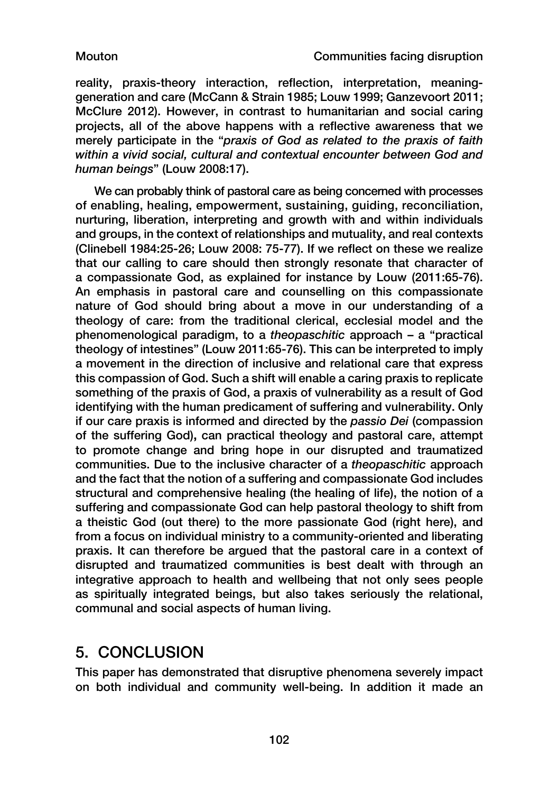reality, praxis-theory interaction, reflection, interpretation, meaninggeneration and care (McCann & Strain 1985; Louw 1999; Ganzevoort 2011; McClure 2012). However, in contrast to humanitarian and social caring projects, all of the above happens with a reflective awareness that we merely participate in the "*praxis of God as related to the praxis of faith within a vivid social, cultural and contextual encounter between God and human beings*" (Louw 2008:17).

We can probably think of pastoral care as being concerned with processes of enabling, healing, empowerment, sustaining, guiding, reconciliation, nurturing, liberation, interpreting and growth with and within individuals and groups, in the context of relationships and mutuality, and real contexts (Clinebell 1984:25-26; Louw 2008: 75-77). If we reflect on these we realize that our calling to care should then strongly resonate that character of a compassionate God, as explained for instance by Louw (2011:65-76). An emphasis in pastoral care and counselling on this compassionate nature of God should bring about a move in our understanding of a theology of care: from the traditional clerical, ecclesial model and the phenomenological paradigm, to a *theopaschitic* approach – a "practical theology of intestines" (Louw 2011:65-76). This can be interpreted to imply a movement in the direction of inclusive and relational care that express this compassion of God. Such a shift will enable a caring praxis to replicate something of the praxis of God, a praxis of vulnerability as a result of God identifying with the human predicament of suffering and vulnerability. Only if our care praxis is informed and directed by the *passio Dei* (compassion of the suffering God)**,** can practical theology and pastoral care, attempt to promote change and bring hope in our disrupted and traumatized communities. Due to the inclusive character of a *theopaschitic* approach and the fact that the notion of a suffering and compassionate God includes structural and comprehensive healing (the healing of life), the notion of a suffering and compassionate God can help pastoral theology to shift from a theistic God (out there) to the more passionate God (right here), and from a focus on individual ministry to a community-oriented and liberating praxis. It can therefore be argued that the pastoral care in a context of disrupted and traumatized communities is best dealt with through an integrative approach to health and wellbeing that not only sees people as spiritually integrated beings, but also takes seriously the relational, communal and social aspects of human living.

## 5. CONCLUSION

This paper has demonstrated that disruptive phenomena severely impact on both individual and community well-being. In addition it made an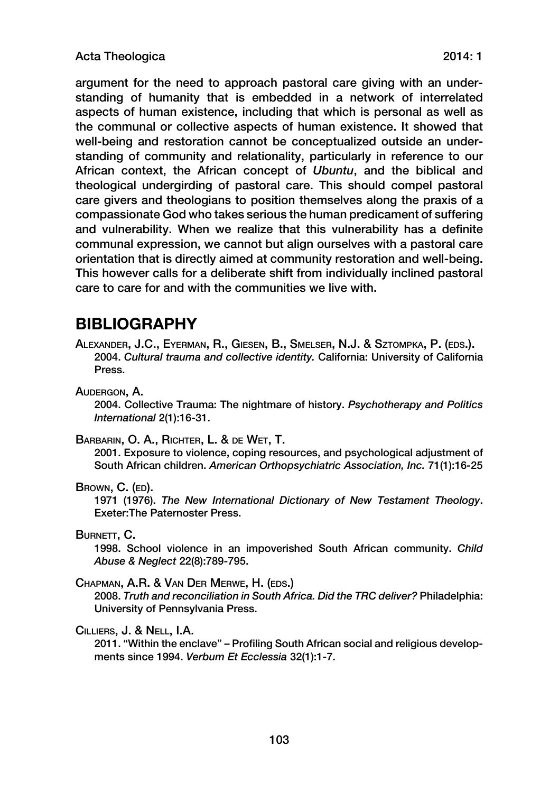argument for the need to approach pastoral care giving with an understanding of humanity that is embedded in a network of interrelated aspects of human existence, including that which is personal as well as the communal or collective aspects of human existence. It showed that well-being and restoration cannot be conceptualized outside an understanding of community and relationality, particularly in reference to our African context, the African concept of *Ubuntu*, and the biblical and theological undergirding of pastoral care. This should compel pastoral care givers and theologians to position themselves along the praxis of a compassionate God who takes serious the human predicament of suffering and vulnerability. When we realize that this vulnerability has a definite communal expression, we cannot but align ourselves with a pastoral care orientation that is directly aimed at community restoration and well-being. This however calls for a deliberate shift from individually inclined pastoral care to care for and with the communities we live with.

## **BIBLIOGRAPHY**

Alexander, J.C., Eyerman, R., Giesen, B., Smelser, N.J. & Sztompka, P. (eds.). 2004. *Cultural trauma and collective identity.* California: University of California Press.

Audergon, A.

2004. Collective Trauma: The nightmare of history. *Psychotherapy and Politics International* 2(1):16-31.

Barbarin, O. A., Richter, L. & de Wet, T.

2001. Exposure to violence, coping resources, and psychological adjustment of South African children. *American Orthopsychiatric Association, Inc.* 71(1):16-25

### BROWN, C. (ED).

1971 (1976). *The New International Dictionary of New Testament Theology*. Exeter:The Paternoster Press.

BURNETT, C.

1998. School violence in an impoverished South African community. *Child Abuse & Neglect* 22(8):789-795.

#### Chapman, A.R. & Van Der Merwe, H. (eds.)

2008. *Truth and reconciliation in South Africa. Did the TRC deliver?* Philadelphia: University of Pennsylvania Press.

### Cilliers, J. & Nell, I.A.

2011. "Within the enclave" – Profiling South African social and religious developments since 1994. *Verbum Et Ecclessia* 32(1):1-7.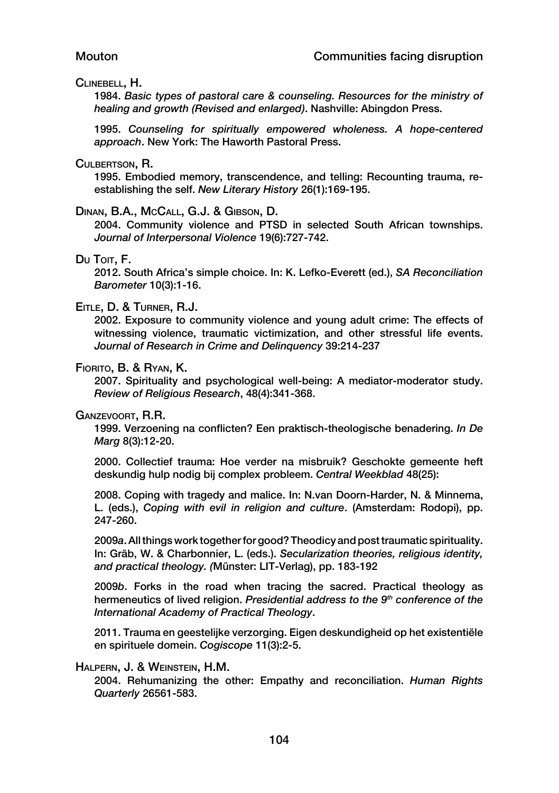#### Clinebell, H.

1984. *Basic types of pastoral care & counseling. Resources for the ministry of healing and growth (Revised and enlarged)*. Nashville: Abingdon Press.

1995. *Counseling for spiritually empowered wholeness. A hope-centered approach*. New York: The Haworth Pastoral Press.

#### Culbertson, R.

1995. Embodied memory, transcendence, and telling: Recounting trauma, reestablishing the self. *New Literary History* 26(1):169-195.

#### Dinan, B.A., McCall, G.J. & Gibson, D.

2004. Community violence and PTSD in selected South African townships. *Journal of Interpersonal Violence* 19(6):727-742.

#### Du Toit, F.

2012. South Africa's simple choice. In: K. Lefko-Everett (ed.), *SA Reconciliation Barometer* 10(3):1-16.

#### Eitle, D. & Turner, R.J.

2002. Exposure to community violence and young adult crime: The effects of witnessing violence, traumatic victimization, and other stressful life events. *Journal of Research in Crime and Delinquency* 39:214-237

#### Fiorito, B. & Ryan, K.

2007. Spirituality and psychological well-being: A mediator-moderator study. *Review of Religious Research*, 48(4):341-368.

#### Ganzevoort, R.R.

1999. Verzoening na conflicten? Een praktisch-theologische benadering. *In De Marg* 8(3):12-20.

2000. Collectief trauma: Hoe verder na misbruik? Geschokte gemeente heft deskundig hulp nodig bij complex probleem. *Central Weekblad* 48(25):

2008. Coping with tragedy and malice. In: N.van Doorn-Harder, N. & Minnema, L. (eds.), *Coping with evil in religion and culture*. (Amsterdam: Rodopi), pp. 247-260.

2009*a*. All things work together for good? Theodicy and post traumatic spirituality. In: Gräb, W. & Charbonnier, L. (eds.). *Secularization theories, religious identity, and practical theology. (*Münster: LIT-Verlag), pp. 183-192

2009*b*. Forks in the road when tracing the sacred. Practical theology as hermeneutics of lived religion. *Presidential address to the 9th conference of the International Academy of Practical Theology*.

2011. Trauma en geestelijke verzorging. Eigen deskundigheid op het existentiële en spirituele domein. *Cogiscope* 11(3):2-5.

#### Halpern, J. & Weinstein, H.M.

2004. Rehumanizing the other: Empathy and reconciliation. *Human Rights Quarterly* 26561-583.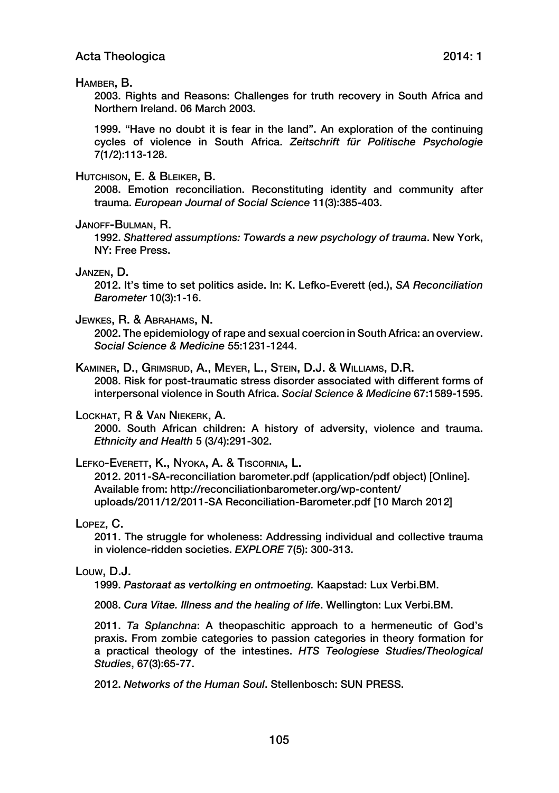#### Hamber, B.

2003. Rights and Reasons: Challenges for truth recovery in South Africa and Northern Ireland. 06 March 2003.

1999. "Have no doubt it is fear in the land". An exploration of the continuing cycles of violence in South Africa. *Zeitschrift für Politische Psychologie* 7(1/2):113-128.

#### Hutchison, E. & Bleiker, B.

2008. Emotion reconciliation. Reconstituting identity and community after trauma. *European Journal of Social Science* 11(3):385-403.

#### Janoff-Bulman, R.

1992. *Shattered assumptions: Towards a new psychology of trauma*. New York, NY: Free Press.

#### Janzen, D.

2012. It's time to set politics aside. In: K. Lefko-Everett (ed.), *SA Reconciliation Barometer* 10(3):1-16.

#### Jewkes, R. & Abrahams, N.

2002. The epidemiology of rape and sexual coercion in South Africa: an overview. *Social Science & Medicine* 55:1231-1244.

### Kaminer, D., Grimsrud, A., Meyer, L., Stein, D.J. & Williams, D.R.

2008. Risk for post-traumatic stress disorder associated with different forms of interpersonal violence in South Africa. *Social Science & Medicine* 67:1589-1595.

#### Lockhat, R & Van Niekerk, A.

2000. South African children: A history of adversity, violence and trauma. *Ethnicity and Health* 5 (3/4):291-302.

Lefko-Everett, K., Nyoka, A. & Tiscornia, L.

2012. 2011-SA-reconciliation barometer.pdf (application/pdf object) [Online]. Available from: [http://reconciliationbarometer.org/wp-content/](http://reconciliationbarometer.org/wp-content/uploads/2011/12/2011-SA Reconciliation-Barometer.pdf) [uploads/2011/12/2011-SA Reconciliation-Barometer.pdf](http://reconciliationbarometer.org/wp-content/uploads/2011/12/2011-SA Reconciliation-Barometer.pdf) [10 March 2012]

#### Lopez, C.

2011. The struggle for wholeness: Addressing individual and collective trauma in violence-ridden societies. *EXPLORE* 7(5): 300-313.

#### Louw, D.J.

1999. *Pastoraat as vertolking en ontmoeting.* Kaapstad: Lux Verbi.BM.

2008. *Cura Vitae. Illness and the healing of life*. Wellington: Lux Verbi.BM.

2011. *Ta Splanchna*: A theopaschitic approach to a hermeneutic of God's praxis. From zombie categories to passion categories in theory formation for a practical theology of the intestines. *HTS Teologiese Studies/Theological Studies*, 67(3):65-77.

2012. *Networks of the Human Soul*. Stellenbosch: SUN PRESS.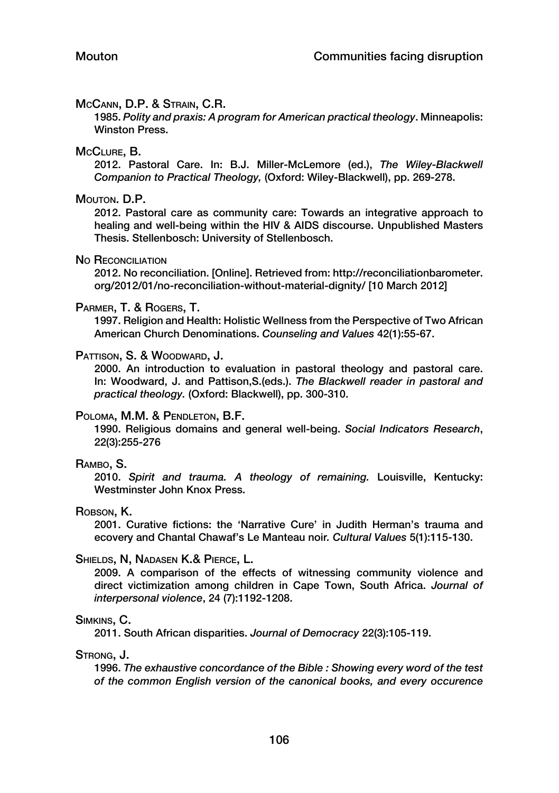#### McCann, D.P. & Strain, C.R.

1985. *Polity and praxis: A program for American practical theology*. Minneapolis: Winston Press.

#### McClure, B.

2012. Pastoral Care. In: B.J. Miller-McLemore (ed.), *The Wiley-Blackwell Companion to Practical Theology,* (Oxford: Wiley-Blackwell), pp. 269-278.

#### Mouton. D.P.

2012. Pastoral care as community care: Towards an integrative approach to healing and well-being within the HIV & AIDS discourse. Unpublished Masters Thesis. Stellenbosch: University of Stellenbosch.

#### No RECONCILIATION

2012. No reconciliation. [Online]. Retrieved from: [http://reconciliationbarometer.](http://reconciliationbarometer.org/2012/01/no-reconciliation-without-material-dignity/) [org/2012/01/no-reconciliation-without-material-dignity/](http://reconciliationbarometer.org/2012/01/no-reconciliation-without-material-dignity/) [10 March 2012]

#### Parmer, T. & Rogers, T.

1997. Religion and Health: Holistic Wellness from the Perspective of Two African American Church Denominations. *Counseling and Values* 42(1):55-67.

#### PATTISON, S. & WOODWARD, J.

2000. An introduction to evaluation in pastoral theology and pastoral care. In: Woodward, J. and Pattison,S.(eds.). *The Blackwell reader in pastoral and practical theology.* (Oxford: Blackwell), pp. 300-310.

#### Poloma, M.M. & Pendleton, B.F.

1990. Religious domains and general well-being. *Social Indicators Research*, 22(3):255-276

#### Rambo, S.

2010. *Spirit and trauma. A theology of remaining.* Louisville, Kentucky: Westminster John Knox Press.

#### ROBSON, K.

2001. Curative fictions: the 'Narrative Cure' in Judith Herman's trauma and ecovery and Chantal Chawaf's Le Manteau noir*. Cultural Values* 5(1):115-130.

#### Shields, N, Nadasen K.& Pierce, L.

2009. A comparison of the effects of witnessing community violence and direct victimization among children in Cape Town, South Africa. *Journal of interpersonal violence*, 24 (7):1192-1208.

#### Simkins, C.

2011. South African disparities. *Journal of Democracy* 22(3):105-119.

#### Strong, J.

1996. *The exhaustive concordance of the Bible : Showing every word of the test of the common English version of the canonical books, and every occurence*